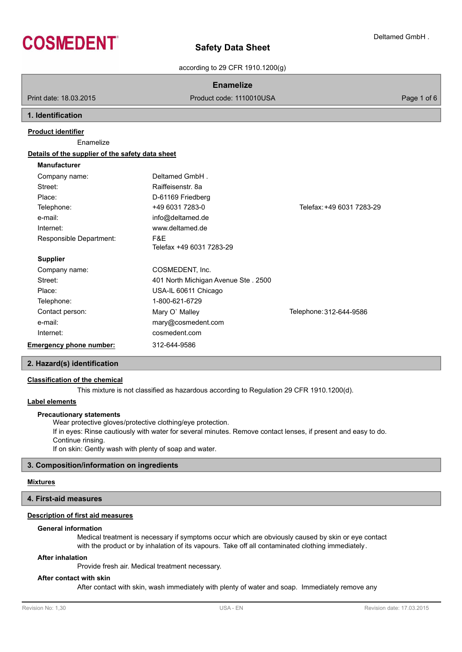

according to 29 CFR 1910.1200(g)

## **Enamelize**

Print date: 18.03.2015 **Product code: 1110010USA** Product code: 1110010USA

## **1. Identification**

## **Product identifier**

Enamelize

| Details of the supplier of the safety data sheet |                                     |                           |
|--------------------------------------------------|-------------------------------------|---------------------------|
| <b>Manufacturer</b>                              |                                     |                           |
| Company name:                                    | Deltamed GmbH.                      |                           |
| Street:                                          | Raiffeisenstr, 8a                   |                           |
| Place:                                           | D-61169 Friedberg                   |                           |
| Telephone:                                       | +49 6031 7283-0                     | Telefax: +49 6031 7283-29 |
| e-mail:                                          | info@deltamed.de                    |                           |
| Internet:                                        | www.deltamed.de                     |                           |
| Responsible Department:                          | F&E                                 |                           |
|                                                  | Telefax +49 6031 7283-29            |                           |
| <b>Supplier</b>                                  |                                     |                           |
| Company name:                                    | COSMEDENT, Inc.                     |                           |
| Street:                                          | 401 North Michigan Avenue Ste. 2500 |                           |
| Place:                                           | USA-IL 60611 Chicago                |                           |
| Telephone:                                       | 1-800-621-6729                      |                           |
| Contact person:                                  | Mary O' Malley                      | Telephone: 312-644-9586   |
| e-mail:                                          | mary@cosmedent.com                  |                           |
| Internet:                                        | cosmedent.com                       |                           |
| <b>Emergency phone number:</b>                   | 312-644-9586                        |                           |
|                                                  |                                     |                           |

## **2. Hazard(s) identification**

## **Classification of the chemical**

This mixture is not classified as hazardous according to Regulation 29 CFR 1910.1200(d).

## **Label elements**

#### **Precautionary statements**

Wear protective gloves/protective clothing/eye protection. If in eyes: Rinse cautiously with water for several minutes. Remove contact lenses, if present and easy to do. Continue rinsing. If on skin: Gently wash with plenty of soap and water.

## **3. Composition/information on ingredients**

## **Mixtures**

## **4. First-aid measures**

## **Description of first aid measures**

## **General information**

Medical treatment is necessary if symptoms occur which are obviously caused by skin or eye contact with the product or by inhalation of its vapours. Take off all contaminated clothing immediately.

## **After inhalation**

Provide fresh air. Medical treatment necessary.

#### **After contact with skin**

After contact with skin, wash immediately with plenty of water and soap. Immediately remove any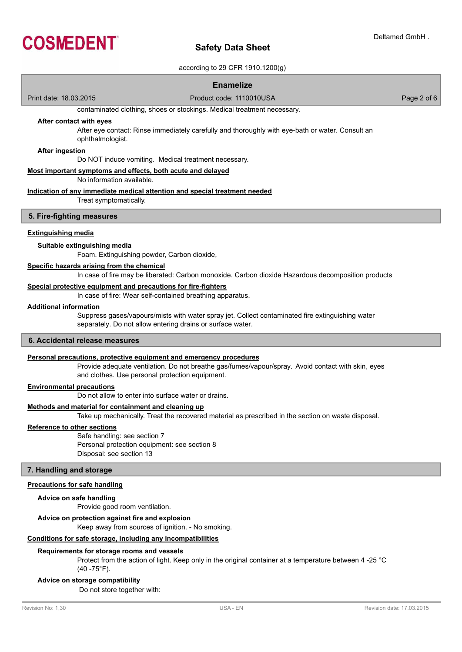

## according to 29 CFR 1910.1200(g)

## **Enamelize**

Print date: 18.03.2015 **Product code: 1110010USA** Product code: 1110010USA

contaminated clothing, shoes or stockings. Medical treatment necessary.

## **After contact with eyes**

After eye contact: Rinse immediately carefully and thoroughly with eye-bath or water. Consult an ophthalmologist.

#### **After ingestion**

Do NOT induce vomiting. Medical treatment necessary.

#### **Most important symptoms and effects, both acute and delayed**

No information available.

#### **Indication of any immediate medical attention and special treatment needed**

Treat symptomatically.

#### **5. Fire-fighting measures**

### **Extinguishing media**

#### **Suitable extinguishing media**

Foam. Extinguishing powder, Carbon dioxide,

## **Specific hazards arising from the chemical**

In case of fire may be liberated: Carbon monoxide. Carbon dioxide Hazardous decomposition products

#### **Special protective equipment and precautions for fire-fighters**

In case of fire: Wear self-contained breathing apparatus.

## **Additional information**

Suppress gases/vapours/mists with water spray jet. Collect contaminated fire extinguishing water separately. Do not allow entering drains or surface water.

## **6. Accidental release measures**

## **Personal precautions, protective equipment and emergency procedures**

Provide adequate ventilation. Do not breathe gas/fumes/vapour/spray. Avoid contact with skin, eyes and clothes. Use personal protection equipment.

#### **Environmental precautions**

Do not allow to enter into surface water or drains.

## **Methods and material for containment and cleaning up**

Take up mechanically. Treat the recovered material as prescribed in the section on waste disposal.

#### **Reference to other sections**

Safe handling: see section 7 Personal protection equipment: see section 8 Disposal: see section 13

#### **7. Handling and storage**

## **Precautions for safe handling**

#### **Advice on safe handling**

Provide good room ventilation.

#### **Advice on protection against fire and explosion**

Keep away from sources of ignition. - No smoking.

## **Conditions for safe storage, including any incompatibilities**

#### **Requirements for storage rooms and vessels**

Protect from the action of light. Keep only in the original container at a temperature between 4 -25 °C  $(40 - 75$ °F).

#### **Advice on storage compatibility**

Do not store together with: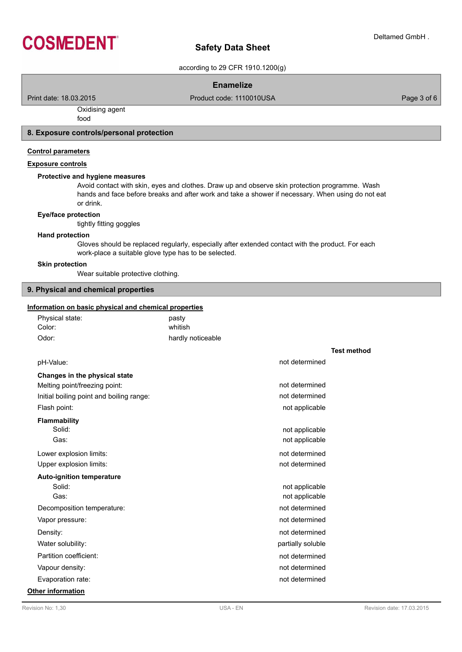

according to 29 CFR 1910.1200(g)

## **Enamelize**

Print date: 18.03.2015 **Product code: 1110010USA** Product code: 1110010USA

# Oxidising agent

food

## **8. Exposure controls/personal protection**

## **Control parameters**

## **Exposure controls**

## **Protective and hygiene measures**

Avoid contact with skin, eyes and clothes. Draw up and observe skin protection programme. Wash hands and face before breaks and after work and take a shower if necessary. When using do not eat or drink.

## **Eye/face protection**

tightly fitting goggles

## **Hand protection**

Gloves should be replaced regularly, especially after extended contact with the product. For each work-place a suitable glove type has to be selected.

#### **Skin protection**

Wear suitable protective clothing.

## **9. Physical and chemical properties**

#### **Information on basic physical and chemical properties**

| formation on basic physical and chemical properties |                   |                   |                    |  |  |
|-----------------------------------------------------|-------------------|-------------------|--------------------|--|--|
| Physical state:                                     | pasty             |                   |                    |  |  |
| Color:                                              | whitish           |                   |                    |  |  |
| Odor:                                               | hardly noticeable |                   |                    |  |  |
|                                                     |                   |                   | <b>Test method</b> |  |  |
| pH-Value:                                           |                   | not determined    |                    |  |  |
| Changes in the physical state                       |                   |                   |                    |  |  |
| Melting point/freezing point:                       |                   | not determined    |                    |  |  |
| Initial boiling point and boiling range:            |                   | not determined    |                    |  |  |
| Flash point:                                        |                   | not applicable    |                    |  |  |
| <b>Flammability</b>                                 |                   |                   |                    |  |  |
| Solid:                                              |                   | not applicable    |                    |  |  |
| Gas:                                                |                   | not applicable    |                    |  |  |
| Lower explosion limits:                             |                   | not determined    |                    |  |  |
| Upper explosion limits:                             |                   | not determined    |                    |  |  |
| <b>Auto-ignition temperature</b>                    |                   |                   |                    |  |  |
| Solid:                                              |                   | not applicable    |                    |  |  |
| Gas:                                                |                   | not applicable    |                    |  |  |
| Decomposition temperature:                          |                   | not determined    |                    |  |  |
| Vapor pressure:                                     |                   | not determined    |                    |  |  |
| Density:                                            |                   | not determined    |                    |  |  |
| Water solubility:                                   |                   | partially soluble |                    |  |  |
| Partition coefficient:                              |                   | not determined    |                    |  |  |
| Vapour density:                                     |                   | not determined    |                    |  |  |
| Evaporation rate:                                   |                   | not determined    |                    |  |  |

## **Other information**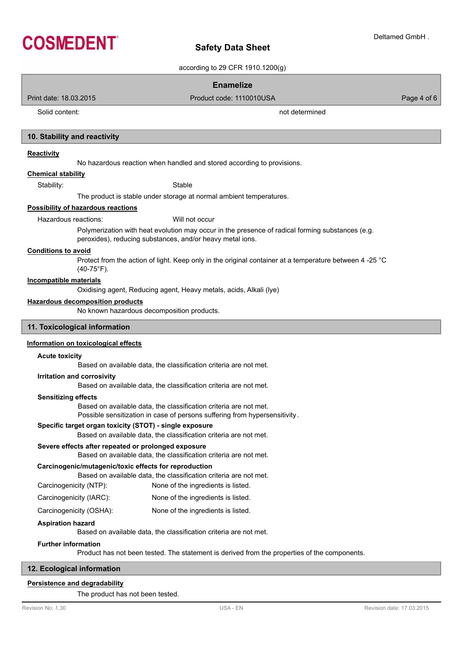

according to 29 CFR 1910.1200(g)

## **Enamelize**

Print date: 18.03.2015 Product code: 1110010USA Page 4 of 6

Solid content: not determined

## **10. Stability and reactivity**

#### **Reactivity**

No hazardous reaction when handled and stored according to provisions.

## **Chemical stability**

Stability: Stable

The product is stable under storage at normal ambient temperatures.

### **Possibility of hazardous reactions**

Hazardous reactions: Will not occur

Polymerization with heat evolution may occur in the presence of radical forming substances (e.g. peroxides), reducing substances, and/or heavy metal ions.

## **Conditions to avoid**

Protect from the action of light. Keep only in the original container at a temperature between 4 -25 °C  $(40-75°F)$ .

## **Incompatible materials**

Oxidising agent, Reducing agent, Heavy metals, acids, Alkali (lye)

#### **Hazardous decomposition products**

No known hazardous decomposition products.

## **11. Toxicological information**

## **Information on toxicological effects**

#### **Acute toxicity**

Based on available data, the classification criteria are not met.

## **Irritation and corrosivity**

Based on available data, the classification criteria are not met.

## **Sensitizing effects**

Based on available data, the classification criteria are not met.

Possible sensitization in case of persons suffering from hypersensitivity .

## **Specific target organ toxicity (STOT) - single exposure**

Based on available data, the classification criteria are not met.

## **Severe effects after repeated or prolonged exposure**

Based on available data, the classification criteria are not met.

## **Carcinogenic/mutagenic/toxic effects for reproduction**

Based on available data, the classification criteria are not met.

Carcinogenicity (NTP): None of the ingredients is listed.

- Carcinogenicity (IARC): None of the ingredients is listed.
- Carcinogenicity (OSHA): None of the ingredients is listed.

## **Aspiration hazard**

Based on available data, the classification criteria are not met.

## **Further information**

Product has not been tested. The statement is derived from the properties of the components.

## **12. Ecological information**

## **Persistence and degradability**

The product has not been tested.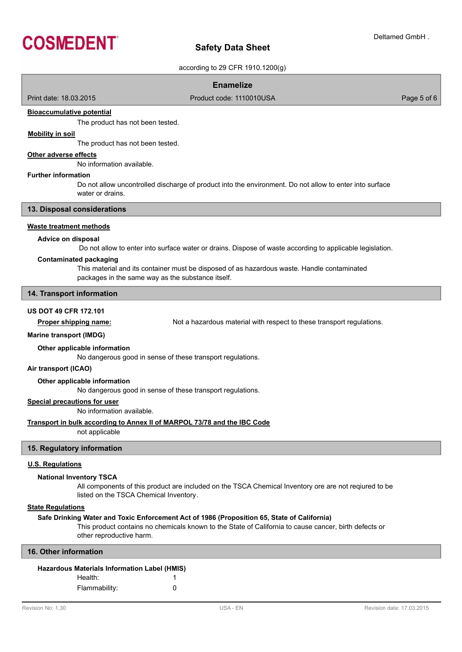

according to 29 CFR 1910.1200(g)

## **Enamelize**

Print date: 18.03.2015 **Product code: 1110010USA** Product code: 1110010USA

## **Bioaccumulative potential**

The product has not been tested.

## **Mobility in soil**

The product has not been tested.

## **Other adverse effects**

No information available.

#### **Further information**

Do not allow uncontrolled discharge of product into the environment. Do not allow to enter into surface water or drains.

## **13. Disposal considerations**

## **Waste treatment methods**

## **Advice on disposal**

Do not allow to enter into surface water or drains. Dispose of waste according to applicable legislation.

#### **Contaminated packaging**

This material and its container must be disposed of as hazardous waste. Handle contaminated packages in the same way as the substance itself.

## **14. Transport information**

## **US DOT 49 CFR 172.101**

**Proper shipping name:** Not a hazardous material with respect to these transport regulations.

#### **Marine transport (IMDG)**

#### **Other applicable information**

No dangerous good in sense of these transport regulations.

## **Air transport (ICAO)**

## **Other applicable information**

No dangerous good in sense of these transport regulations.

## **Special precautions for user**

No information available.

## **Transport in bulk according to Annex II of MARPOL 73/78 and the IBC Code**

not applicable

## **15. Regulatory information**

## **U.S. Regulations**

#### **National Inventory TSCA**

All components of this product are included on the TSCA Chemical Inventory ore are not reqiured to be listed on the TSCA Chemical Inventory.

## **State Regulations**

#### **Safe Drinking Water and Toxic Enforcement Act of 1986 (Proposition 65, State of California)**

This product contains no chemicals known to the State of California to cause cancer, birth defects or other reproductive harm.

## **16. Other information**

| Hazardous Materials Information Label (HMIS) |   |
|----------------------------------------------|---|
| Health:                                      |   |
| Flammability:                                | O |